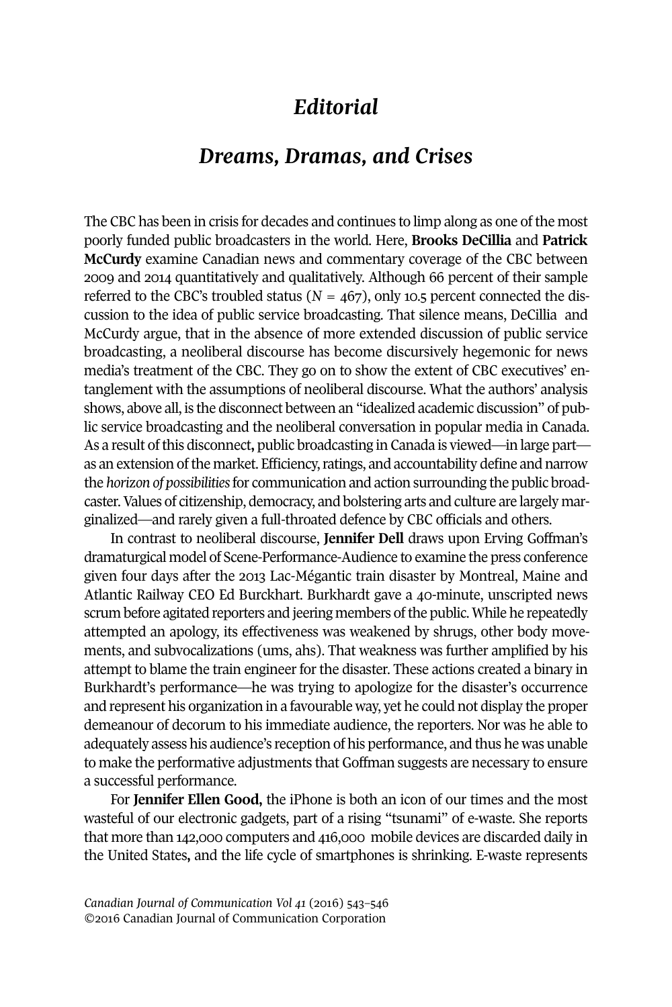## *Editorial*

## *Dreams, Dramas, and Crises*

The CBC has been in crisis for decades and continues to limp along as one ofthe most poorly funded public broadcasters in the world. Here, **Brooks DeCillia** and **Patrick McCurdy** examine Canadian news and commentary coverage of the CBC between 2009 and 2014 quantitatively and qualitatively. Although 66 percent of their sample referred to the CBC's troubled status ( $N = 467$ ), only 10.5 percent connected the discussion to the idea of public service broadcasting. That silence means, DeCillia and McCurdy argue, that in the absence of more extended discussion of public service broadcasting, a neoliberal discourse has become discursively hegemonic for news media's treatment of the CBC. They go on to show the extent of CBC executives' entanglement with the assumptions of neoliberal discourse. What the authors' analysis shows, above all, is the disconnect between an "idealized academic discussion" of public service broadcasting and the neoliberal conversation in popular media in Canada. As a result ofthis disconnect**,** public broadcasting in Canada is viewed—in large part as an extension of the market. Efficiency, ratings, and accountability define and narrow the *horizon of possibilities*for communication and action surrounding the public broadcaster. Values of citizenship, democracy, and bolstering arts and culture are largely marginalized—and rarely given a full-throated defence by CBC officials and others.

In contrast to neoliberal discourse, **Jennifer Dell** draws upon Erving Goffman's dramaturgical model of Scene-Performance-Audience to examine the press conference given four days after the 2013 Lac-Mégantic train disaster by Montreal, Maine and Atlantic Railway CEO Ed Burckhart. Burkhardt gave a 40-minute, unscripted news scrum before agitated reporters and jeering members of the public. While he repeatedly attempted an apology, its effectiveness was weakened by shrugs, other body movements, and subvocalizations (ums, ahs). That weakness was further amplified by his attempt to blame the train engineer for the disaster. These actions created a binary in Burkhardt's performance—he was trying to apologize for the disaster's occurrence and represent his organization in a favourable way, yet he could not display the proper demeanour of decorum to his immediate audience, the reporters. Nor was he able to adequately assess his audience's reception of his performance, and thus he was unable to make the performative adjustments that Goffman suggests are necessary to ensure a successful performance.

For **Jennifer Ellen Good,** the iPhone is both an icon of our times and the most wasteful of our electronic gadgets, part of a rising "tsunami" of e-waste. She reports that more than 142,000 computers and 416,000 mobile devices are discarded daily in the United States**,** and the life cycle of smartphones is shrinking. E-waste represents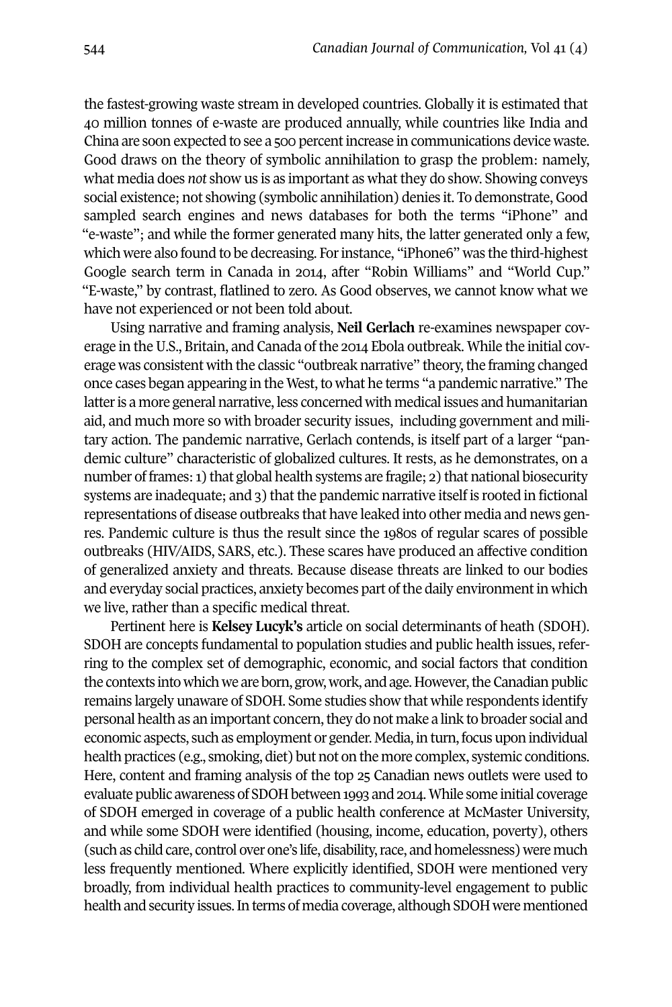the fastest-growing waste stream in developed countries. Globally it is estimated that 40 million tonnes of e-waste are produced annually, while countries like India and China are soon expected to see a 500 percentincrease in communications device waste. Good draws on the theory of symbolic annihilation to grasp the problem: namely, what media does *not* show us is as important as what they do show. Showing conveys social existence; not showing (symbolic annihilation) denies it. To demonstrate,Good sampled search engines and news databases for both the terms "iPhone" and "e-waste"; and while the former generated many hits, the latter generated only a few, which were also found to be decreasing. For instance, "iPhone6" was the third-highest Google search term in Canada in 2014, after "Robin Williams" and "World Cup." "E-waste," by contrast, flatlined to zero. As Good observes, we cannot know what we have not experienced or not been told about.

Using narrative and framing analysis, **Neil Gerlach** re-examines newspaper coverage in the U.S., Britain, and Canada of the 2014 Ebola outbreak. While the initial coverage was consistent with the classic "outbreak narrative" theory, the framing changed once cases began appearing in the West, to what he terms "a pandemic narrative." The latter is a more general narrative, less concerned with medical issues and humanitarian aid, and much more so with broader security issues, including government and military action. The pandemic narrative, Gerlach contends, is itself part of a larger "pandemic culture" characteristic of globalized cultures. It rests, as he demonstrates, on a number of frames:1) that global health systems are fragile; 2) that national biosecurity systems are inadequate; and 3) that the pandemic narrative itself is rooted in fictional representations of disease outbreaks that have leaked into other media and news genres. Pandemic culture is thus the result since the 1980s of regular scares of possible outbreaks (HIV/AIDS, SARS, etc.). These scares have produced an affective condition of generalized anxiety and threats. Because disease threats are linked to our bodies and everyday social practices, anxiety becomes part of the daily environment in which we live, rather than a specific medical threat.

Pertinent here is **Kelsey Lucyk's** article on social determinants of heath (SDOH). SDOH are concepts fundamental to population studies and public health issues, referring to the complex set of demographic, economic, and social factors that condition the contexts into which we are born, grow, work, and age. However, the Canadian public remains largely unaware of SDOH. Some studies show that while respondents identify personal health as an important concern,they do not make a link to broader social and economic aspects, such as employment or gender. Media, in turn,focus upon individual health practices (e.g., smoking, diet) but not on the more complex, systemic conditions. Here, content and framing analysis of the top 25 Canadian news outlets were used to evaluate public awareness of SDOH between 1993 and 2014.While some initial coverage of SDOH emerged in coverage of a public health conference at McMaster University, and while some SDOH were identified (housing, income, education, poverty), others (such as child care, control over one's life, disability, race, and homelessness) were much less frequently mentioned. Where explicitly identified, SDOH were mentioned very broadly, from individual health practices to community-level engagement to public health and security issues. In terms of media coverage, although SDOH were mentioned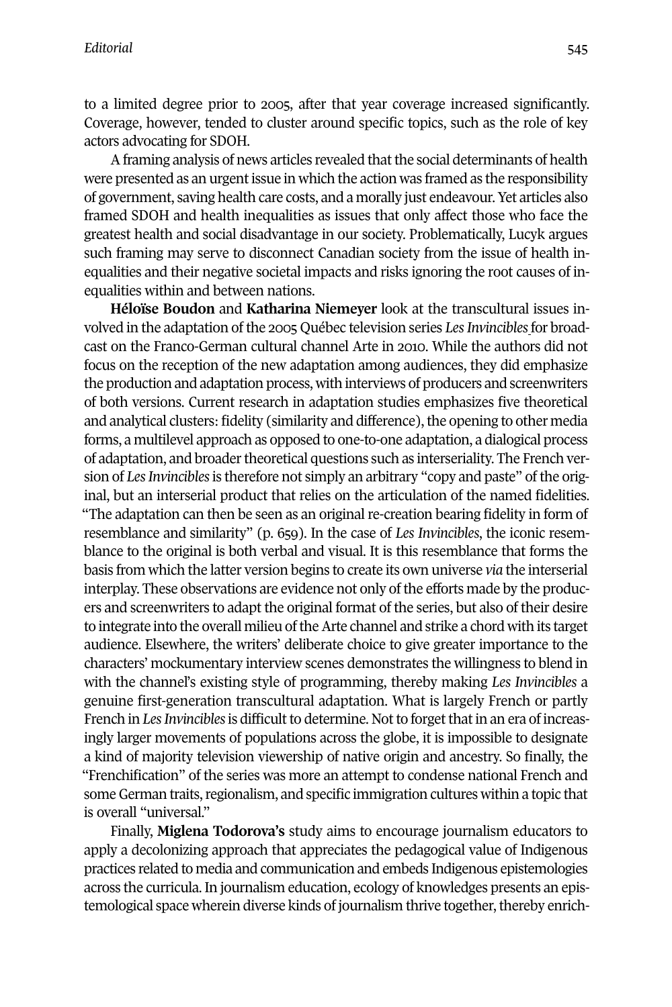to a limited degree prior to 2005, after that year coverage increased significantly. Coverage, however, tended to cluster around specific topics, such as the role of key actors advocating for SDOH.

A framing analysis of news articles revealed that the social determinants of health were presented as an urgent issue in which the action was framed as the responsibility of government, saving health care costs, and a morally just endeavour. Yet articles also framed SDOH and health inequalities as issues that only affect those who face the greatest health and social disadvantage in our society. Problematically, Lucyk argues such framing may serve to disconnect Canadian society from the issue of health inequalities and their negative societal impacts and risks ignoring the root causes of inequalities within and between nations.

**Héloïse Boudon** and **Katharina Niemeyer** look at the transcultural issues involved in the adaptation of the 2005 Québec television series *LesInvincibles*for broadcast on the Franco-German cultural channel Arte in 2010. While the authors did not focus on the reception of the new adaptation among audiences, they did emphasize the production and adaptation process, with interviews of producers and screenwriters of both versions. Current research in adaptation studies emphasizes five theoretical and analytical clusters: fidelity (similarity and difference), the opening to other media forms, a multilevel approach as opposed to one-to-one adaptation, a dialogical process of adaptation, and broader theoretical questions such as interseriality. The French version of *LesInvincibles*is therefore not simply an arbitrary "copy and paste" of the original, but an interserial product that relies on the articulation of the named fidelities. "The adaptation can then be seen as an original re-creation bearing fidelity in form of resemblance and similarity" (p. 659). In the case of *Les Invincibles*, the iconic resemblance to the original is both verbal and visual. It is this resemblance that forms the basis from which the latter version begins to create its own universe *via* the interserial interplay. These observations are evidence not only of the efforts made by the producers and screenwriters to adapt the original format of the series, but also of their desire to integrate into the overall milieu of the Arte channel and strike a chord with its target audience. Elsewhere, the writers' deliberate choice to give greater importance to the characters' mockumentary interview scenes demonstrates the willingness to blend in with the channel's existing style of programming, thereby making *Les Invincibles* a genuine first-generation transcultural adaptation. What is largely French or partly French in Les Invincibles is difficult to determine. Not to forget that in an era of increasingly larger movements of populations across the globe, it is impossible to designate a kind of majority television viewership of native origin and ancestry. So finally, the "Frenchification" of the series was more an attempt to condense national French and some German traits, regionalism, and specific immigration cultures within a topic that is overall "universal."

Finally, **Miglena Todorova's** study aims to encourage journalism educators to apply a decolonizing approach that appreciates the pedagogical value of Indigenous practices related to media and communication and embeds Indigenous epistemologies across the curricula. In journalism education, ecology of knowledges presents an epistemological space wherein diverse kinds of journalism thrive together, thereby enrich-